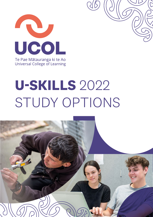

# **U-SKILLS** 2022 STUDY OPTIONS

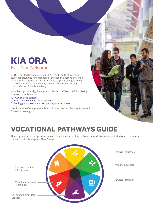## **KIA ORA** Nau Mai Welcome

UCOL is excited to announce our 2022 U-Skills suite of in-school study opportunities for students still enrolled in a secondary school. U-Skills offers a range of short STAR course options along with our more extensive one and two day-a-week programmes through the U-Skills Central Schools Academy.

With the support and guidance of our Transition Team, U-Skills offerings focus on three key areas:

- **1. NCEA related content**
- **2. Industry knowledge and experience**
- **3. Finding your passion and supporting you to succeed**

Check out the offerings available in 2022 over the next few pages, we look forward to seeing you.



## **VOCATIONAL PATHWAYS GUIDE**

The programmes in this prospectus are colour coded according to the Vocational Pathways and includes an icon where there are skills shortages in New Zealand.

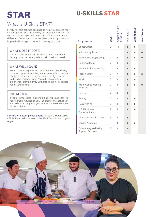## **U-SKILLS STAR**

## What is U-Skills STAR?

**STAR**

STAR are short courses designed to help you explore your career options. Usually one day per week 9am to 3pm for five or six weeks (you will be notified if this timeframe is different). Our range of courses gives you an opportunity to gain tertiary experience while staying at school.

#### WHAT DOES IT COST?

There is a fee for each STAR course which is funded through your secondary school (with their approval).

#### WHAT WILL LGAIN?

STAR students experience a short taste of an industry or career option. From this, you may be able to decide what your next step is in your career or if you wish to do extra tertiary study. You will get a practical experience, providing you with information to support you in your future.

#### INTERESTED?

If you are interested in attending a STAR course talk to your Careers Advisor or STAR Coordinator at school. If your school is happy for you to attend the course they will let us know.

**For further details please phone** - **0800 GO UCOL** (0800 468 265) and ask to speak to the STAR Coordinator in your region.

| Programme                                             | Level          | CEA<br>Approx N | Manawati | Mhanganui | valrarapa |
|-------------------------------------------------------|----------------|-----------------|----------|-----------|-----------|
| Construction                                          | $\overline{2}$ | 11              |          |           |           |
| Vet Nursing Taster                                    |                |                 |          |           |           |
| Automotive Engineering                                | $\overline{2}$ | $\overline{2}$  |          |           |           |
| <b>Collision Repair</b>                               | $\overline{2}$ | 3               |          |           |           |
| <b>Mechanical Engineering</b>                         | $\overline{2}$ | 5               |          |           |           |
| Forklift Safety                                       | 3              | 7               |          |           |           |
| Music                                                 | 3              | 3               |          |           |           |
| Art of Coffee Making<br>(Barista)                     | $\overline{2}$ | 4               |          |           |           |
| Bakery                                                | $\overline{2}$ | $\overline{4}$  |          |           |           |
| Beauty                                                | $\overline{2}$ | 3               |          |           |           |
| Hairdressing                                          | $\overline{2}$ | 3               |          |           |           |
| <b>Y.E.S Business</b><br>Opportunities                | $\overline{2}$ | 3               |          |           |           |
| Alternative Health Care                               | 3              | 5               |          |           |           |
| Service Academy                                       | 3              | $\overline{4}$  |          |           |           |
| <b>Community Wellbeing</b><br><b>Support Services</b> | $\overline{2}$ | 3               |          |           |           |

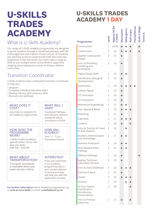## **U-SKILLS TRADES ACADEMY**

## What is U-Skills Academy?

Our range of U-Skills academy programmes are designed to guide students through a vocational pathway, with the encouragement and support of your school. At Academy you will have access to experienced staff who have real experience in the real world. Our team have a range of skills to suit multiple needs and provide a supportive stepping stone, giving you a taste of tertiary, without course fees.

### Transition Coordinator

U-Skills students have a dedicated Transition Coordinator to help you:

- Set goals
- Complete individual education plans
- Develop literacy and numeracy skills
- Discover your pathway

#### WHAT DOES IT COST?

#### WHAT WILL I GAIN?

Vocational Pathway and industry relevant standards which contribute to NCEA.

Zero Fees to students for all Academy programmes.

#### HOW DOES THE PROGRAMME WORK?

U-Skills Trades Academy operate either one or two days per week. 9:00 AM – 3:00 PM.

#### WHAT ABOUT TRANSPORTATION?

Transport assistance is available when you meet certain criteria.

#### HOW AM I **ELIGIBILE?**

Year 11 – 13 at Secondary School.

#### INTERESTED?

If you are interested in an Academy programme talk to your careers advisor at school and they will help you with the application process.

**For further information** about Academy programmes, go to **ucol.ac.nz/u-skills** or email: **u-skills@ucol.ac.nz**

## **U-SKILLS TRADES ACADEMY 1 DAY**

| Programme                                                          | Level          | <b>Approx NCEA</b><br><b>Credits</b> | Manawatū  | Whanganu | Mairarapa | Horowhenua | Otaki College | <b>Fararua</b> |
|--------------------------------------------------------------------|----------------|--------------------------------------|-----------|----------|-----------|------------|---------------|----------------|
| Construction                                                       | $\overline{2}$ | 24-28                                |           |          |           |            |               |                |
| Construction                                                       | 3              | 22                                   |           |          |           |            |               |                |
| <b>Applied Construction</b><br>Design                              | 3              | 27                                   |           |          |           |            |               |                |
| Intro to Plumbing,<br>Gasfitting and<br>Drainlaying                | 2              | 22                                   |           |          |           |            |               |                |
| Digital Design Skills                                              | $\overline{2}$ | 22                                   |           |          |           |            |               |                |
| Gamification (Design &<br>Development)                             | 3              | 22                                   |           |          |           |            |               |                |
| Automotive                                                         | $\overline{2}$ | 28                                   |           |          |           |            |               |                |
| Collison Repair                                                    | $\overline{2}$ | 25                                   |           |          |           |            |               |                |
| <b>ICT Innovation</b>                                              | $\overline{2}$ | 23                                   |           |          |           |            |               |                |
| <b>ICT Innovation</b>                                              | 3              | 22                                   |           |          |           |            |               |                |
| <b>Mechanical Engineering</b>                                      | $\overline{2}$ | 27                                   |           |          |           |            |               |                |
| Hair, Beauty & Retail                                              | $\overline{2}$ | 24                                   |           |          |           |            |               |                |
| Barbering                                                          | $\overline{2}$ | 27                                   |           |          |           |            |               |                |
| Café Skills                                                        | $\overline{2}$ | 21                                   |           |          |           |            |               |                |
| Cookery                                                            | 3              | 24                                   |           |          |           |            |               |                |
| Intro to Tourism & Travel<br>in New Zealand                        | 3              | 24                                   |           |          |           |            |               |                |
| <b>Business Administration</b><br>and Technology                   | 2              | 21                                   |           |          |           |            |               |                |
| <b>Business Enterprise</b>                                         | 3              | 24                                   |           |          |           |            |               |                |
| New Zealand Police<br>Pathway                                      | 3              | 22                                   |           |          |           |            |               |                |
| Defence Pathways                                                   | 2              | 24                                   | O         |          |           |            |               |                |
| <b>Applied Technical</b><br>Laboratory Services                    | 3              | 23                                   | O         |          |           |            |               |                |
| Intro to Early Childhood                                           | 2              | 22                                   | $\bullet$ | 0        |           |            |               |                |
| Exercise & Sport                                                   | $\overline{2}$ | 22                                   | $\bullet$ |          |           |            |               |                |
| Health                                                             | 3              | 34                                   |           |          |           |            |               |                |
| Forestry                                                           | $\overline{2}$ | 23                                   |           |          |           |            |               |                |
| Te Kura Tapere<br>(Certificate in<br>Introductory<br>Conservation) | 3              | 30                                   |           |          |           |            |               |                |
| Intro to Primary<br>Industries                                     | $\overline{2}$ | 21                                   |           |          |           |            |               |                |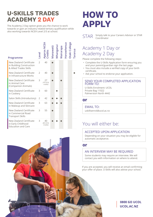## **U-SKILLS TRADES ACADEMY 2 DAY**

The Academy 2 Day option gives you the chance to work towards or gain an industry related tertiary qualification while also working towards NCEA Level 2/3 at school.

| Programme                                                                            | Level          | <b>Approx NCEA</b><br>Credits     | Manawatū | Whanganu | Mairarapa | Horowhenua | Otaki College | Fararua |
|--------------------------------------------------------------------------------------|----------------|-----------------------------------|----------|----------|-----------|------------|---------------|---------|
| <b>New Zealand Certificate</b><br>in Building Construction<br>& Allied Trades Skills | $\mathfrak{D}$ | 40                                |          |          |           |            |               |         |
| New Zealand Certificate<br>in Infrastructure Works                                   | $\mathcal{P}$  | 40                                |          |          |           |            |               |         |
| New Zealand Certificate<br>in Animal Care<br>(Companion Animals)                     | 3              | 27<br>(70 UCOL<br>credits)        |          |          |           |            |               |         |
| New Zealand Certificate<br>in Cookery                                                | 3              | 60                                |          |          |           |            |               |         |
| Salon Skills (Introductory)                                                          | $\overline{2}$ | 42                                |          |          |           |            |               |         |
| New Zealand Certificate<br>in Makeup and Skincare                                    | 3              | 63                                |          |          |           |            |               |         |
| New Zealand Certificate<br>in Commercial Road<br><b>Transport Skills</b>             | 3              | 55                                |          |          |           |            |               |         |
| New Zealand Certificate<br>in Early Childhood<br><b>Education and Care</b>           | 3              | 40<br><b>(60 UCOL</b><br>Credits) |          |          |           |            |               |         |

## **HOW TO APPLY**

STAR Simply talk to your Careers Advisor or STAR<br>Coordinator Coordinator

### Academy 1 Day or Academy 2 Day

Please complete the following steps:

- Complete the U-Skills Application form ensuring you and your parent/guardian sign the last page.
- You must also include a verified copy of your birth certificate.
- Ask your school to endorse your application.

#### SEND YOUR COMPLETED APPLICATION FORM TO:

U-Skills Enrolment: UCOL Private Bag 11022 Palmerston North 4442

#### **or**

EMAIL TO: uskillsenrol@ucol.ac.nz

### You will either be:

#### ACCEPTED UPON APPLICATION

Depending on your situation you may be eligible for automatic acceptance.

#### **or**

#### AN INTERVIEW MAY BE REQUIRED

Some students may require an interview. We will contact you with information on where to attend.

If you are accepted, you will receive an email confirming your offer of place. U-Skills will also advise your school.

> **0800 GO UCOL UCOL.AC.NZ**